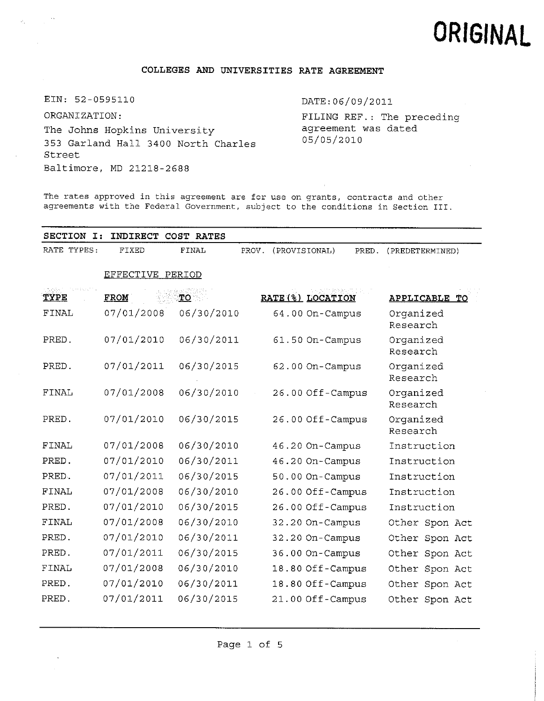# **ORIGINAL**

## **COLLEGES AND UNIVERSITIES RATE AGREEMENT**

EIN: 52-0595110

ORGANIZATION:The Johns Hopkins University 353 Garland Hall 3400 North Charles Street Baltimore, MD 21218-2688

## DATE:06/09/2011

FILING REF.: The preceding agreement was dated 05/05/2010

The rates approved in this agreement are for use on grants, contracts and other agreements with the Federal Government, subject to the conditions in Section III.

| SECTION I:   | INDIRECT COST RATES |            |       |                        |                       |
|--------------|---------------------|------------|-------|------------------------|-----------------------|
| RATE TYPES:  | FIXED               | FINAL      | PROV. | (PROVISIONAL)<br>PRED. | (PREDETERMINED)       |
|              | EFFECTIVE PERIOD    |            |       |                        |                       |
| TYPE         | <b>FROM</b>         | TO         |       | RATE (%) LOCATION      | APPLICABLE TO         |
| FINAL        | 07/01/2008          | 06/30/2010 |       | 64.00 On-Campus        | Organized<br>Research |
| PRED.        | 07/01/2010          | 06/30/2011 |       | 61.50 On-Campus        | Organized<br>Research |
| PRED.        | 07/01/2011          | 06/30/2015 |       | 62.00 On-Campus        | Organized<br>Research |
| FINAL        | 07/01/2008          | 06/30/2010 |       | 26.00 Off-Campus       | Organized<br>Research |
| PRED.        | 07/01/2010          | 06/30/2015 |       | 26.00 Off-Campus       | Organized<br>Research |
| <b>FINAL</b> | 07/01/2008          | 06/30/2010 |       | 46.20 On-Campus        | Instruction           |
| PRED.        | 07/01/2010          | 06/30/2011 |       | 46.20 On-Campus        | Instruction           |
| PRED.        | 07/01/2011          | 06/30/2015 |       | 50.00 On-Campus        | Instruction           |
| FINAL        | 07/01/2008          | 06/30/2010 |       | 26.00 Off-Campus       | Instruction           |
| PRED.        | 07/01/2010          | 06/30/2015 |       | 26.00 Off-Campus       | Instruction           |
| FINAL        | 07/01/2008          | 06/30/2010 |       | 32.20 On-Campus        | Other Spon Act        |
| PRED.        | 07/01/2010          | 06/30/2011 |       | 32.20 On-Campus        | Other Spon Act        |
| PRED.        | 07/01/2011          | 06/30/2015 |       | 36.00 On-Campus        | Other Spon Act        |
| FINAL        | 07/01/2008          | 06/30/2010 |       | 18.80 Off-Campus       | Other Spon Act        |
| PRED.        | 07/01/2010          | 06/30/2011 |       | 18.80 Off-Campus       | Other Spon Act        |
| PRED.        | 07/01/2011          | 06/30/2015 |       | 21.00 Off-Campus       | Other Spon Act        |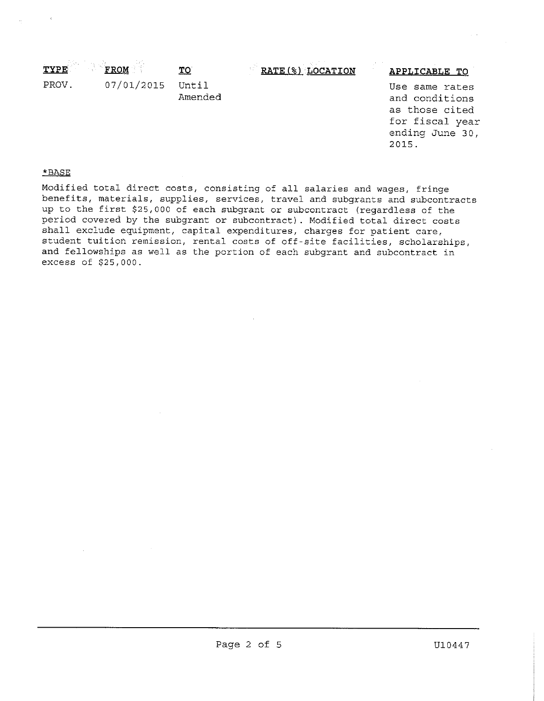| TYPE | <b>FROM</b> | mr | RATE (%) LOCATION | APPLICABLE TO |
|------|-------------|----|-------------------|---------------|

PROV. 07/01/2015 Until 2008 and the Use same rates and conditions as those cited for fiscal year ending June <sup>30</sup>, 2015.

## \*BASE

07/01/2015 Until

Amended

Modified total direct costs, consisting of all salaries and wages, fringe benefits, materials, supplies, services, travel and subgrants and subcontracts up to the first \$25,<sup>000</sup> of each subgrant or subcontract (regardless of the period covered by the subgrant or subcontract). Modified total direct costs shall exclude equipment, capital expenditures, charges for patient care, student tuition remission, rental costs of off-site facilities, scholarships, and fellowships as well as the portion of each subgrant and subcontract in excess of \$25,000.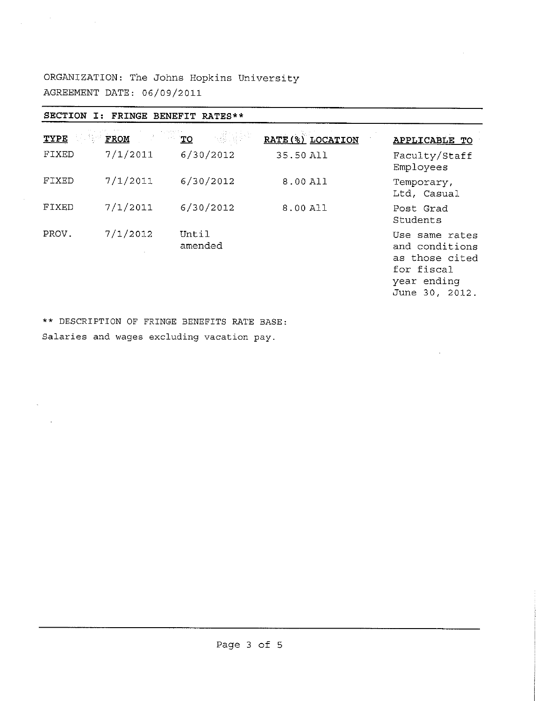**ORGANIZATION: The Johns Hopkins University AGREEMENT DATE: 06/09/2011**

 $\label{eq:2.1} \mathcal{L}(\mathcal{L}^{\text{max}}_{\mathcal{L}}(\mathcal{L}^{\text{max}}_{\mathcal{L}})) \leq \mathcal{L}(\mathcal{L}^{\text{max}}_{\mathcal{L}}(\mathcal{L}^{\text{max}}_{\mathcal{L}}))$ 

L.

 $\bar{z}$ 

| SECTION<br>$\mathbf{I}$ : |          | FRINGE BENEFIT RATES** |                   |                                                                                                   |
|---------------------------|----------|------------------------|-------------------|---------------------------------------------------------------------------------------------------|
| <b>TYPE</b>               | FROM     | TO                     | RATE (%) LOCATION | APPLICABLE TO                                                                                     |
| FIXED                     | 7/1/2011 | 6/30/2012              | 35.50 All         | Faculty/Staff<br>Employees                                                                        |
| FIXED                     | 7/1/2011 | 6/30/2012              | 8.00 All          | Temporary,<br>Ltd, Casual                                                                         |
| FIXED                     | 7/1/2011 | 6/30/2012              | 8,00 All          | Post Grad<br>Students                                                                             |
| PROV.                     | 7/1/2012 | Until<br>amended       |                   | Use same rates<br>and conditions<br>as those cited<br>for fiscal<br>year ending<br>June 30, 2012. |

\*\* DESCRIPTION OF FRINGE BENEFITS RATE BASE: Salaries and wages excluding vacation pay.

!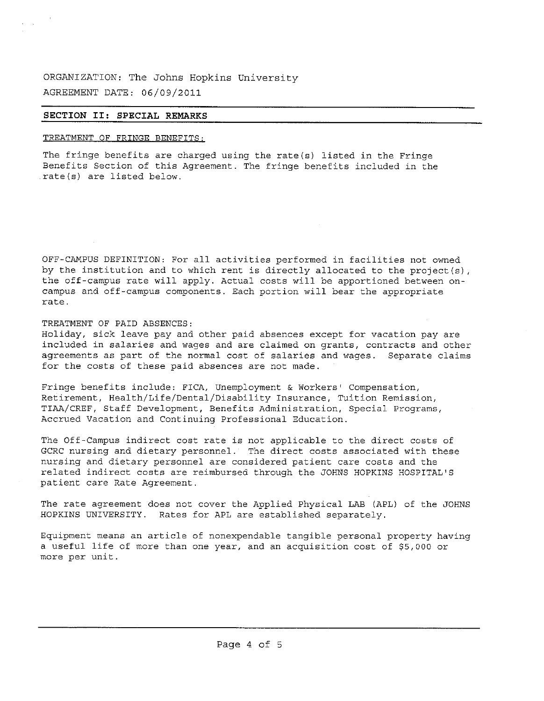ORGANIZATION: The Johns Hopkins University AGREEMENT DATE: 06/09/2011

## **SECTION II: SPECIAL REMARKS**

## TREATMENT OF FRINGE BENEFITS:

The fringe benefits are charged using the rate(s) listed in the Fringe Benefits Section of this Agreement. The fringe benefits included in the rate(s) are listed below.

OFF-CAMPUS DEFINITION: For all activities performed in facilities not owned by the institution and to which rent is directly allocated to the project(s), the off-campus rate will apply. Actual costs will be apportioned between oncampus and off-campus components. Each portion will bear the appropriate rate.

TREATMENT OF PAID ABSENCES:

Holiday, sick leave pay and other paid absences except for vacation pay are included in salaries and wages and are claimed on grants, contracts and other agreements as part of the normal cost of salaries and wages. Separate claims for the costs of these paid absences are not made.

Fringe benefits include: FICA, Unemployment & Workers' Compensation, Retirement, Health/Life/Dental/Disability Insurance, Tuition Remission, TIAA/CREF, Staff Development, Benefits Administration, Special Programs, Accrued Vacation and Continuing Professional Education.

The Off-Campus indirect cost rate is not applicable to the direct costs of GCRC nursing and dietary personnel, The direct costs associated with these nursing and dietary personnel are considered patient care costs and the related indirect costs are reimbursed through the JOHNS HOPKINS HOSPITAL ' S patient care Rate Agreement.

The rate agreement does not cover the Applied Physical LAB (APL) of the JOHNS HOPKINS UNIVERSITY. Rates for APL are established separately.

Equipment means an article of nonexpendable tangible personal property having a useful life of more than one year, and an acquisition cost of \$5,000 or more per unit.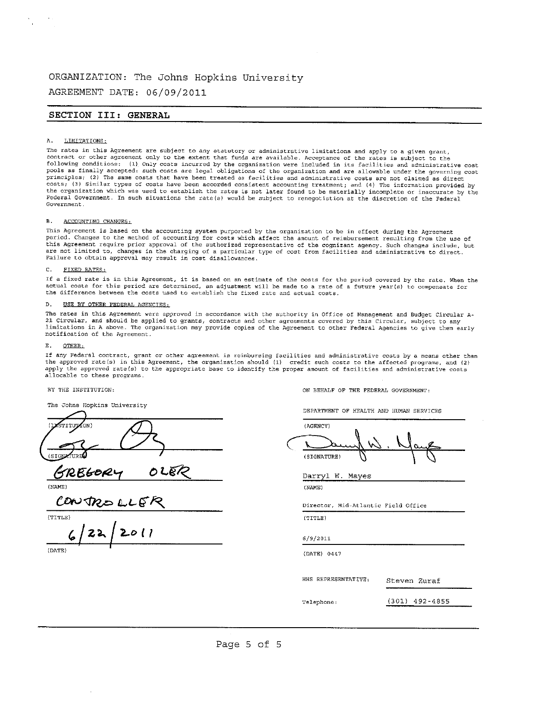## **ORGANIZATION: The Johns Hopkins University**

**AGREEMENT DATE: 06/09/2011**

## **SECTION III: GENERAL**

### LIMITATIONS: A.

The rates in this Agreement are subject to any statutory or administrative limitations and apply to a given grant,<br>contract or other agreement only to the extent that funds are available. Acceptance of the rates is subject pools as finally accepted: such costs are legal obligations of the organization and are allowable under the governing cost principles; (2) The same costs that have been treated as facilities and administrative costs are not claimed as direct costs,- (3) Similar types of costs have been accorded consistent accounting treatment; and (4} The information provided by the organization which was used to establish the rates is not later found to be materially incomplete or inaccurate by the Federal Government. In such situations the rate(s) would be subject to renegotiation at the discretion of the Federal Government.

### B. ACCOUNTING CHANGES:

This Agreement is based on the accounting system purported by the organization to be in effect during the Agreement period. Changes to the method of accounting for costs which affect the amount of reimbursement resulting from the use of this Agreement require prior approval of the authorized representative of the cognizant agency. Such changes include, but are not limited to, changes in the charging of <sup>a</sup> particular type of cost from facilities and administrative to direct. Failure to obtain approval may result in cost disallowances.

## C. FIXED RATES:

If <sup>a</sup> fixed rate is in this Agreement, it is based on an estimate of the costs for the period covered by the rate. When the actual costs for this period are determined, an adjustment will be made to a rate of a future year(s) to compensate for the difference between the costs used to establish the fixed rate and actual costs.

### U5E BY OTHER FEDERAL AGENCIES: D.

The rates in this Agreement were approved in accordance with the authority in Office of Management and Budget Circular <sup>A</sup>-<sup>21</sup> Circular, and should be applied to grants, contracts and other agreements covered by this Circular, subject to any limitations in <sup>A</sup> above. The organization may provide copies of the Agreement to other Federal Agencies to give them early notification of the Agreement.

## E. OTHER:

If any Federal contract, grant or other agreement is reimbursing facilities and administrative costs by <sup>a</sup> means other than the approved rate(s) in this Agreement, the organization should (1) credit such costs to the affected programs, and (2) apply the approved rate(s) to the appropriate base to identify the proper amount of facilities and administrative costs allocable to these programs.

| The Johns Hopkins University     | DEPARTMENT OF HEALTH AND HUMAN SERVICES |
|----------------------------------|-----------------------------------------|
| (IMSTITUTION)<br>(SIGNATURE<br>. | (AGENCY)<br>(SIGNATURE)                 |

O LBR (NAME) (NAME)

(TITLE) (TITLE)

**<sup>i</sup>/if/2.0(** *?* <sup>6</sup>/9/<sup>2011</sup> (DATE) (DATE) <sup>0447</sup>

BY THE INSTITUTION: ON BEHALF OF THE FEDERAL GOVERNMENT:

,  $\bigcup_{\alpha}$ 

Darryl W. Mayes

Director, Mid-Atlantic Field Office

HHS REPRESENTATIVE: Steven Zuraf

Telephone: **(**301**)** 492-4855